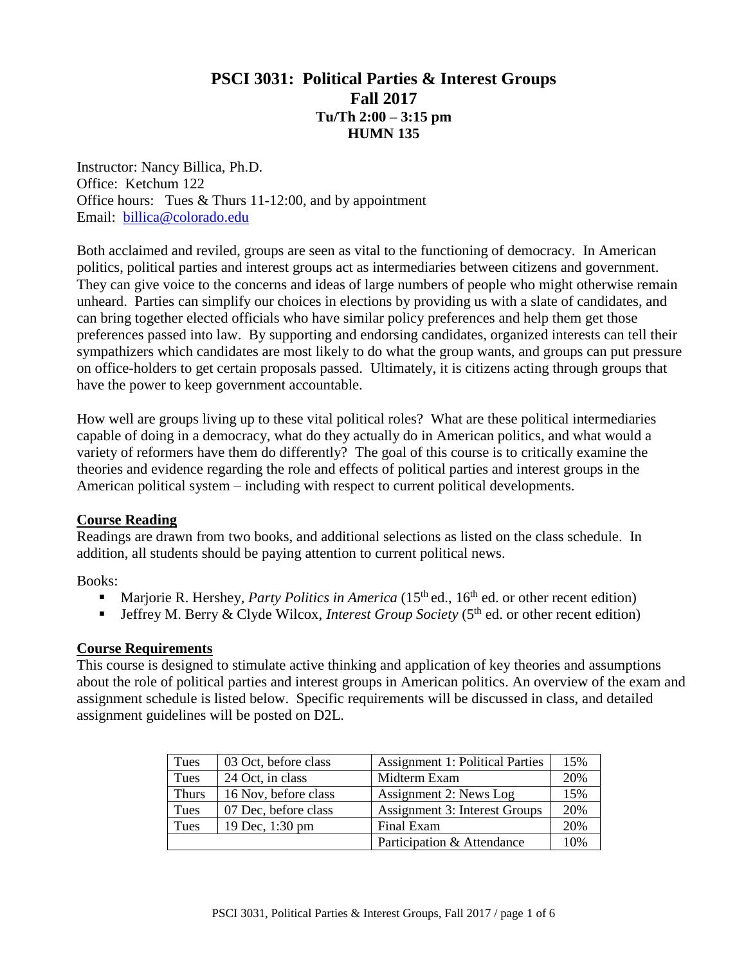# **PSCI 3031: Political Parties & Interest Groups Fall 2017 Tu/Th 2:00 – 3:15 pm HUMN 135**

Instructor: Nancy Billica, Ph.D. Office: Ketchum 122 Office hours: Tues & Thurs 11-12:00, and by appointment Email: [billica@colorado.edu](mailto:billica@colorado.edu)

Both acclaimed and reviled, groups are seen as vital to the functioning of democracy. In American politics, political parties and interest groups act as intermediaries between citizens and government. They can give voice to the concerns and ideas of large numbers of people who might otherwise remain unheard. Parties can simplify our choices in elections by providing us with a slate of candidates, and can bring together elected officials who have similar policy preferences and help them get those preferences passed into law. By supporting and endorsing candidates, organized interests can tell their sympathizers which candidates are most likely to do what the group wants, and groups can put pressure on office-holders to get certain proposals passed. Ultimately, it is citizens acting through groups that have the power to keep government accountable.

How well are groups living up to these vital political roles? What are these political intermediaries capable of doing in a democracy, what do they actually do in American politics, and what would a variety of reformers have them do differently? The goal of this course is to critically examine the theories and evidence regarding the role and effects of political parties and interest groups in the American political system – including with respect to current political developments.

### **Course Reading**

Readings are drawn from two books, and additional selections as listed on the class schedule. In addition, all students should be paying attention to current political news.

Books:

- Marjorie R. Hershey, *Party Politics in America* (15<sup>th</sup> ed., 16<sup>th</sup> ed. or other recent edition)
- Jeffrey M. Berry & Clyde Wilcox, *Interest Group Society* (5<sup>th</sup> ed. or other recent edition)

### **Course Requirements**

This course is designed to stimulate active thinking and application of key theories and assumptions about the role of political parties and interest groups in American politics. An overview of the exam and assignment schedule is listed below. Specific requirements will be discussed in class, and detailed assignment guidelines will be posted on D2L.

| Tues         | 03 Oct, before class | <b>Assignment 1: Political Parties</b> | 15% |
|--------------|----------------------|----------------------------------------|-----|
| Tues         | 24 Oct, in class     | Midterm Exam                           | 20% |
| <b>Thurs</b> | 16 Nov, before class | Assignment 2: News Log                 | 15% |
| Tues         | 07 Dec, before class | <b>Assignment 3: Interest Groups</b>   | 20% |
| Tues         | 19 Dec, 1:30 pm      | Final Exam                             | 20% |
|              |                      | Participation & Attendance             | 10% |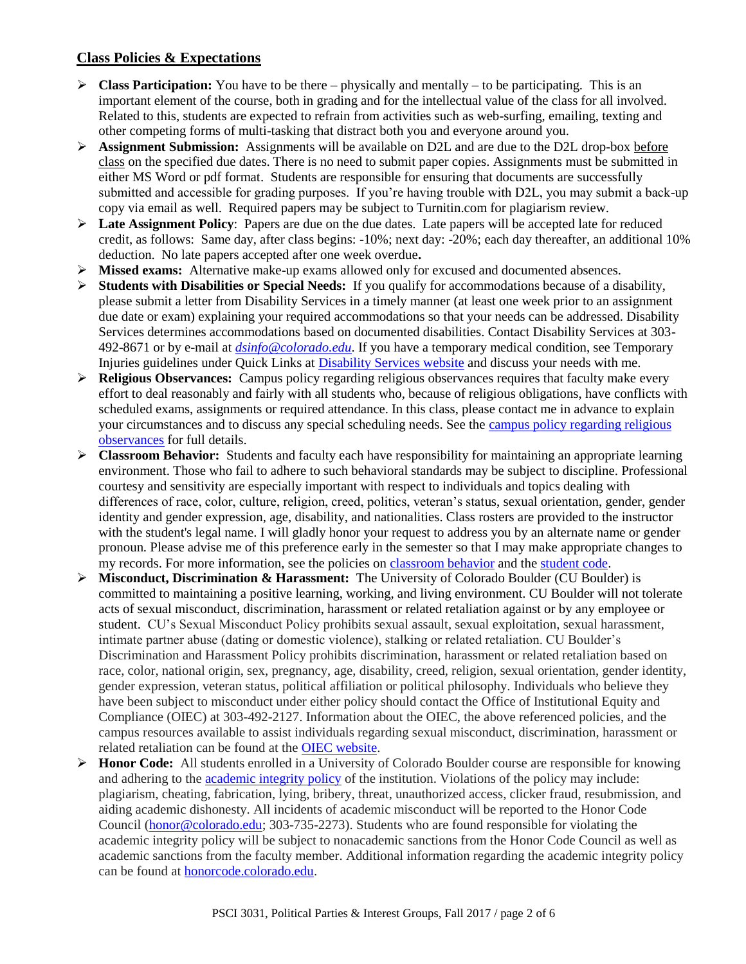## **Class Policies & Expectations**

- **Class Participation:** You have to be there physically and mentally to be participating. This is an important element of the course, both in grading and for the intellectual value of the class for all involved. Related to this, students are expected to refrain from activities such as web-surfing, emailing, texting and other competing forms of multi-tasking that distract both you and everyone around you.
- **Assignment Submission:** Assignments will be available on D2L and are due to the D2L drop-box before class on the specified due dates. There is no need to submit paper copies. Assignments must be submitted in either MS Word or pdf format. Students are responsible for ensuring that documents are successfully submitted and accessible for grading purposes. If you're having trouble with D2L, you may submit a back-up copy via email as well. Required papers may be subject to Turnitin.com for plagiarism review.
- **Eate Assignment Policy:** Papers are due on the due dates. Late papers will be accepted late for reduced credit, as follows: Same day, after class begins: -10%; next day: -20%; each day thereafter, an additional 10% deduction. No late papers accepted after one week overdue**.**
- **Missed exams:** Alternative make-up exams allowed only for excused and documented absences.
- **Students with Disabilities or Special Needs:** If you qualify for accommodations because of a disability, please submit a letter from Disability Services in a timely manner (at least one week prior to an assignment due date or exam) explaining your required accommodations so that your needs can be addressed. Disability Services determines accommodations based on documented disabilities. Contact Disability Services at 303- 492-8671 or by e-mail at *[dsinfo@colorado.edu](https://exchangeweb.colorado.edu/owa/redir.aspx?C=aVVMzThhmEieBX-i851PNL6DsUlJw89IFKltXO0r8ia1uqXjBlsATc1Iq2X1lmLTzaQvbet3VFg.&URL=mailto%3adsinfo%40colorado.edu)*. If you have a temporary medical condition, see Temporary Injuries guidelines under Quick Links at [Disability Services website](http://www.colorado.edu/disabilityservices/) and discuss your needs with me.
- **Religious Observances:** Campus policy regarding religious observances requires that faculty make every effort to deal reasonably and fairly with all students who, because of religious obligations, have conflicts with scheduled exams, assignments or required attendance. In this class, please contact me in advance to explain your circumstances and to discuss any special scheduling needs. See the [campus policy regarding religious](http://www.colorado.edu/policies/observance-religious-holidays-and-absences-classes-andor-exams)  [observances](http://www.colorado.edu/policies/observance-religious-holidays-and-absences-classes-andor-exams) for full details.
- **Classroom Behavior:** Students and faculty each have responsibility for maintaining an appropriate learning environment. Those who fail to adhere to such behavioral standards may be subject to discipline. Professional courtesy and sensitivity are especially important with respect to individuals and topics dealing with differences of race, color, culture, religion, creed, politics, veteran's status, sexual orientation, gender, gender identity and gender expression, age, disability, and nationalities. Class rosters are provided to the instructor with the student's legal name. I will gladly honor your request to address you by an alternate name or gender pronoun. Please advise me of this preference early in the semester so that I may make appropriate changes to my records. For more information, see the policies on [classroom behavior](http://www.colorado.edu/policies/student-classroom-and-course-related-behavior) and th[e student code.](http://www.colorado.edu/osccr/sites/default/files/attached-files/studentconductcode_16-17-a.pdf)
- **Misconduct, Discrimination & Harassment:** The University of Colorado Boulder (CU Boulder) is committed to maintaining a positive learning, working, and living environment. CU Boulder will not tolerate acts of sexual misconduct, discrimination, harassment or related retaliation against or by any employee or student. CU's Sexual Misconduct Policy prohibits sexual assault, sexual exploitation, sexual harassment, intimate partner abuse (dating or domestic violence), stalking or related retaliation. CU Boulder's Discrimination and Harassment Policy prohibits discrimination, harassment or related retaliation based on race, color, national origin, sex, pregnancy, age, disability, creed, religion, sexual orientation, gender identity, gender expression, veteran status, political affiliation or political philosophy. Individuals who believe they have been subject to misconduct under either policy should contact the Office of Institutional Equity and Compliance (OIEC) at 303-492-2127. Information about the OIEC, the above referenced policies, and the campus resources available to assist individuals regarding sexual misconduct, discrimination, harassment or related retaliation can be found at the [OIEC website.](http://click.communications.cu.edu/?qs=39c6bbe8c82a1d732054f117957d802dbfa206c70b1c5b513de173845a0d232cb5cf342b4ed5b660)
- **Honor Code:** All students enrolled in a University of Colorado Boulder course are responsible for knowing and adhering to the [academic integrity policy](http://click.communications.cu.edu/?qs=39c6bbe8c82a1d73693839a46cfb5f41742794e4c28c3b7dd19eb84551b996198a4e1f0aff52671f) of the institution. Violations of the policy may include: plagiarism, cheating, fabrication, lying, bribery, threat, unauthorized access, clicker fraud, resubmission, and aiding academic dishonesty. All incidents of academic misconduct will be reported to the Honor Code Council [\(honor@colorado.edu;](mailto:honor@colorado.edu) 303-735-2273). Students who are found responsible for violating the academic integrity policy will be subject to nonacademic sanctions from the Honor Code Council as well as academic sanctions from the faculty member. Additional information regarding the academic integrity policy can be found at [honorcode.colorado.edu.](http://click.communications.cu.edu/?qs=39c6bbe8c82a1d734c73bf7d0e93d76ec728149ce2b1716d92fb8ad4a84306dc5bbde4e942ff9527)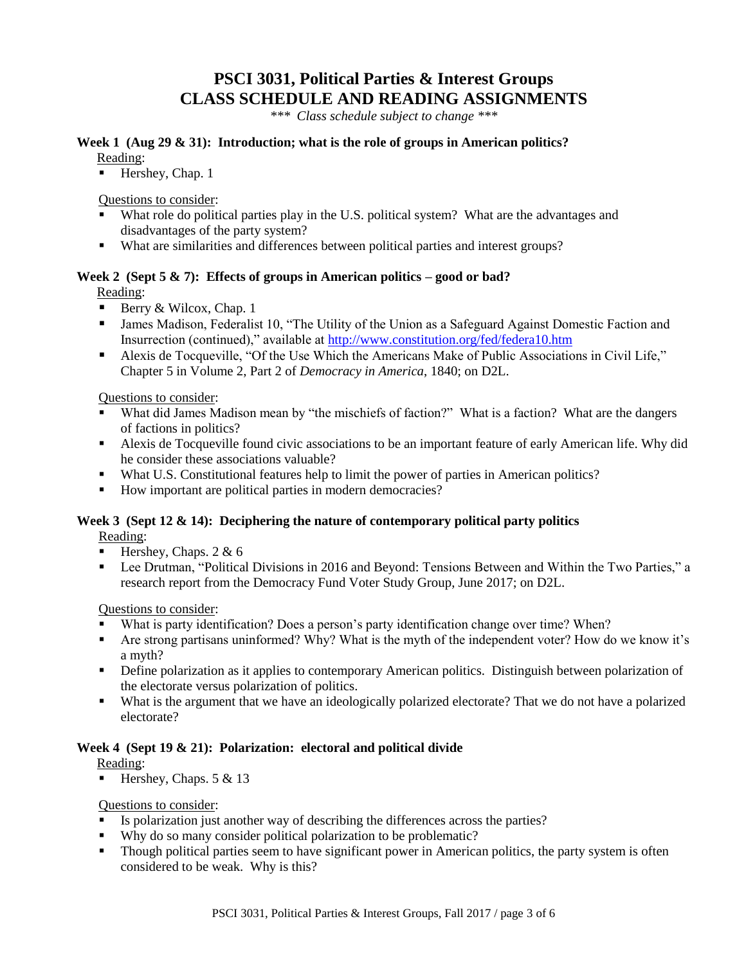# **PSCI 3031, Political Parties & Interest Groups CLASS SCHEDULE AND READING ASSIGNMENTS**

*\*\*\* Class schedule subject to change \*\*\**

#### **Week 1 (Aug 29 & 31): Introduction; what is the role of groups in American politics?** Reading:

Hershey, Chap. 1

Questions to consider:

- What role do political parties play in the U.S. political system? What are the advantages and disadvantages of the party system?
- What are similarities and differences between political parties and interest groups?

### **Week 2 (Sept 5 & 7): Effects of groups in American politics – good or bad?**

Reading:

- Berry & Wilcox, Chap. 1
- James Madison, Federalist 10, "The Utility of the Union as a Safeguard Against Domestic Faction and Insurrection (continued)," available at<http://www.constitution.org/fed/federa10.htm>
- Alexis de Tocqueville, "Of the Use Which the Americans Make of Public Associations in Civil Life," Chapter 5 in Volume 2, Part 2 of *Democracy in America*, 1840; on D2L.

Questions to consider:

- What did James Madison mean by "the mischiefs of faction?" What is a faction? What are the dangers of factions in politics?
- Alexis de Tocqueville found civic associations to be an important feature of early American life. Why did he consider these associations valuable?
- What U.S. Constitutional features help to limit the power of parties in American politics?
- How important are political parties in modern democracies?

### **Week 3 (Sept 12 & 14): Deciphering the nature of contemporary political party politics** Reading:

- Hershey, Chaps.  $2 \& 6$
- Lee Drutman, "Political Divisions in 2016 and Beyond: Tensions Between and Within the Two Parties," a research report from the Democracy Fund Voter Study Group, June 2017; on D2L.

Questions to consider:

- What is party identification? Does a person's party identification change over time? When?
- Are strong partisans uninformed? Why? What is the myth of the independent voter? How do we know it's a myth?
- Define polarization as it applies to contemporary American politics. Distinguish between polarization of the electorate versus polarization of politics.
- What is the argument that we have an ideologically polarized electorate? That we do not have a polarized electorate?

#### **Week 4 (Sept 19 & 21): Polarization: electoral and political divide**

Reading:

Hershey, Chaps.  $5 & 13$ 

#### Questions to consider:

- Is polarization just another way of describing the differences across the parties?
- Why do so many consider political polarization to be problematic?
- Though political parties seem to have significant power in American politics, the party system is often considered to be weak. Why is this?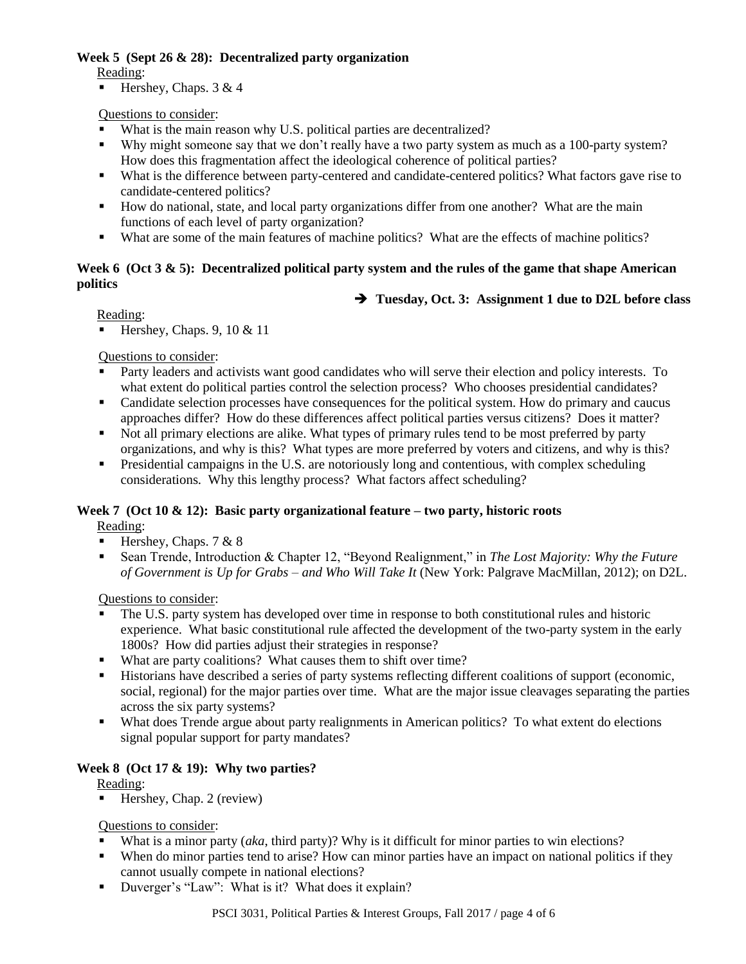### **Week 5 (Sept 26 & 28): Decentralized party organization**

Reading:

Hershey, Chaps.  $3 \& 4$ 

## Questions to consider:

- What is the main reason why U.S. political parties are decentralized?
- Why might someone say that we don't really have a two party system as much as a 100-party system? How does this fragmentation affect the ideological coherence of political parties?
- What is the difference between party-centered and candidate-centered politics? What factors gave rise to candidate-centered politics?
- How do national, state, and local party organizations differ from one another? What are the main functions of each level of party organization?
- What are some of the main features of machine politics? What are the effects of machine politics?

### **Week 6 (Oct 3 & 5): Decentralized political party system and the rules of the game that shape American politics**

## **Tuesday, Oct. 3: Assignment 1 due to D2L before class**

Reading:

Hershey, Chaps.  $9, 10 \& 11$ 

Questions to consider:

- Party leaders and activists want good candidates who will serve their election and policy interests. To what extent do political parties control the selection process? Who chooses presidential candidates?
- Candidate selection processes have consequences for the political system. How do primary and caucus approaches differ? How do these differences affect political parties versus citizens? Does it matter?
- Not all primary elections are alike. What types of primary rules tend to be most preferred by party organizations, and why is this? What types are more preferred by voters and citizens, and why is this?
- **Presidential campaigns in the U.S. are notoriously long and contentious, with complex scheduling** considerations. Why this lengthy process? What factors affect scheduling?

### **Week 7 (Oct 10 & 12): Basic party organizational feature – two party, historic roots**

Reading:

- Hershey, Chaps.  $7 & 8$
- Sean Trende, Introduction & Chapter 12, "Beyond Realignment," in *The Lost Majority: Why the Future of Government is Up for Grabs – and Who Will Take It* (New York: Palgrave MacMillan, 2012); on D2L.

Questions to consider:

- The U.S. party system has developed over time in response to both constitutional rules and historic experience. What basic constitutional rule affected the development of the two-party system in the early 1800s? How did parties adjust their strategies in response?
- What are party coalitions? What causes them to shift over time?
- Historians have described a series of party systems reflecting different coalitions of support (economic, social, regional) for the major parties over time. What are the major issue cleavages separating the parties across the six party systems?
- What does Trende argue about party realignments in American politics? To what extent do elections signal popular support for party mandates?

# **Week 8 (Oct 17 & 19): Why two parties?**

Reading:

 $Hershey, Chap. 2 (review)$ 

Questions to consider:

- What is a minor party *(aka, third party)?* Why is it difficult for minor parties to win elections?
- When do minor parties tend to arise? How can minor parties have an impact on national politics if they cannot usually compete in national elections?
- Duverger's "Law": What is it? What does it explain?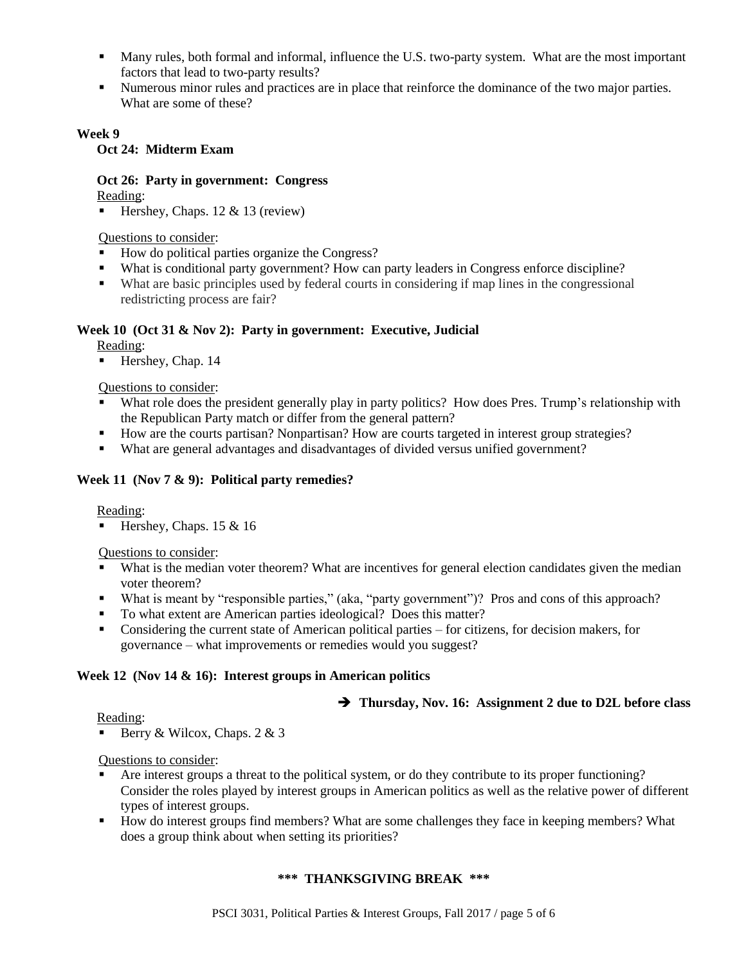- Many rules, both formal and informal, influence the U.S. two-party system. What are the most important factors that lead to two-party results?
- Numerous minor rules and practices are in place that reinforce the dominance of the two major parties. What are some of these?

### **Week 9**

### **Oct 24: Midterm Exam**

# **Oct 26: Party in government: Congress**

Reading:

Hershey, Chaps.  $12 \& 13$  (review)

Questions to consider:

- How do political parties organize the Congress?
- What is conditional party government? How can party leaders in Congress enforce discipline?
- What are basic principles used by federal courts in considering if map lines in the congressional redistricting process are fair?

### **Week 10 (Oct 31 & Nov 2): Party in government: Executive, Judicial**

Reading:

 $\blacksquare$  Hershey, Chap. 14

### Questions to consider:

- What role does the president generally play in party politics? How does Pres. Trump's relationship with the Republican Party match or differ from the general pattern?
- How are the courts partisan? Nonpartisan? How are courts targeted in interest group strategies?
- What are general advantages and disadvantages of divided versus unified government?

### **Week 11 (Nov 7 & 9): Political party remedies?**

#### Reading:

Hershey, Chaps.  $15 \& 16$ 

### Questions to consider:

- What is the median voter theorem? What are incentives for general election candidates given the median voter theorem?
- What is meant by "responsible parties," (aka, "party government")? Pros and cons of this approach?
- To what extent are American parties ideological? Does this matter?
- Considering the current state of American political parties for citizens, for decision makers, for governance – what improvements or remedies would you suggest?

### **Week 12 (Nov 14 & 16): Interest groups in American politics**

### **Thursday, Nov. 16: Assignment 2 due to D2L before class**

Reading:

Berry & Wilcox, Chaps.  $2 \& 3$ 

Questions to consider:

- Are interest groups a threat to the political system, or do they contribute to its proper functioning? Consider the roles played by interest groups in American politics as well as the relative power of different types of interest groups.
- How do interest groups find members? What are some challenges they face in keeping members? What does a group think about when setting its priorities?

### **\*\*\* THANKSGIVING BREAK \*\*\***